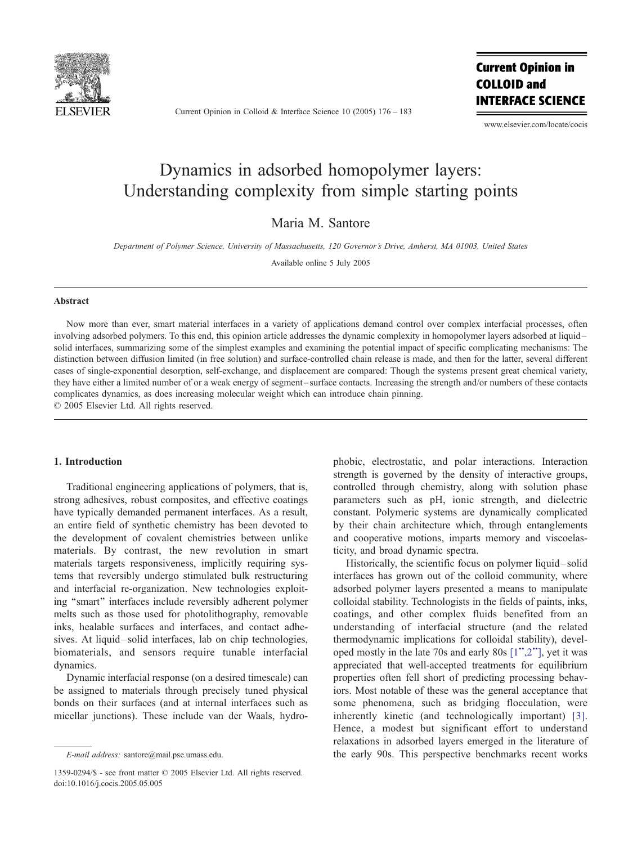

Current Opinion in Colloid & Interface Science 10 (2005) 176 – 183

**Current Opinion in COLLOID and INTERFACE SCIENCE** 

www.elsevier.com/locate/cocis

# Dynamics in adsorbed homopolymer layers: Understanding complexity from simple starting points

Maria M. Santore

Department of Polymer Science, University of Massachusetts, 120 Governor's Drive, Amherst, MA 01003, United States

Available online 5 July 2005

#### Abstract

Now more than ever, smart material interfaces in a variety of applications demand control over complex interfacial processes, often involving adsorbed polymers. To this end, this opinion article addresses the dynamic complexity in homopolymer layers adsorbed at liquid – solid interfaces, summarizing some of the simplest examples and examining the potential impact of specific complicating mechanisms: The distinction between diffusion limited (in free solution) and surface-controlled chain release is made, and then for the latter, several different cases of single-exponential desorption, self-exchange, and displacement are compared: Though the systems present great chemical variety, they have either a limited number of or a weak energy of segment – surface contacts. Increasing the strength and/or numbers of these contacts complicates dynamics, as does increasing molecular weight which can introduce chain pinning.  $© 2005 Elsevier Ltd. All rights reserved.$ 

### 1. Introduction

Traditional engineering applications of polymers, that is, strong adhesives, robust composites, and effective coatings have typically demanded permanent interfaces. As a result, an entire field of synthetic chemistry has been devoted to the development of covalent chemistries between unlike materials. By contrast, the new revolution in smart materials targets responsiveness, implicitly requiring systems that reversibly undergo stimulated bulk restructuring and interfacial re-organization. New technologies exploiting ''smart'' interfaces include reversibly adherent polymer melts such as those used for photolithography, removable inks, healable surfaces and interfaces, and contact adhesives. At liquid-solid interfaces, lab on chip technologies, biomaterials, and sensors require tunable interfacial dynamics.

Dynamic interfacial response (on a desired timescale) can be assigned to materials through precisely tuned physical bonds on their surfaces (and at internal interfaces such as micellar junctions). These include van der Waals, hydrophobic, electrostatic, and polar interactions. Interaction strength is governed by the density of interactive groups, controlled through chemistry, along with solution phase parameters such as pH, ionic strength, and dielectric constant. Polymeric systems are dynamically complicated by their chain architecture which, through entanglements and cooperative motions, imparts memory and viscoelasticity, and broad dynamic spectra.

Historically, the scientific focus on polymer liquid – solid interfaces has grown out of the colloid community, where adsorbed polymer layers presented a means to manipulate colloidal stability. Technologists in the fields of paints, inks, coatings, and other complex fluids benefited from an understanding of interfacial structure (and the related thermodynamic implications for colloidal stability), developed mostly in the late 70s and early 80s  $[1", 2"]$ , yet it was appreciated that well-accepted treatments for equilibrium properties often fell short of predicting processing behaviors. Most notable of these was the general acceptance that some phenomena, such as bridging flocculation, were inherently kinetic (and technologically important) [\[3\].](#page-6-0) Hence, a modest but significant effort to understand relaxations in adsorbed layers emerged in the literature of the early 90s. This perspective benchmarks recent works

E-mail address: santore@mail.pse.umass.edu.

<sup>1359-0294/\$ -</sup> see front matter © 2005 Elsevier Ltd. All rights reserved. doi:10.1016/j.cocis.2005.05.005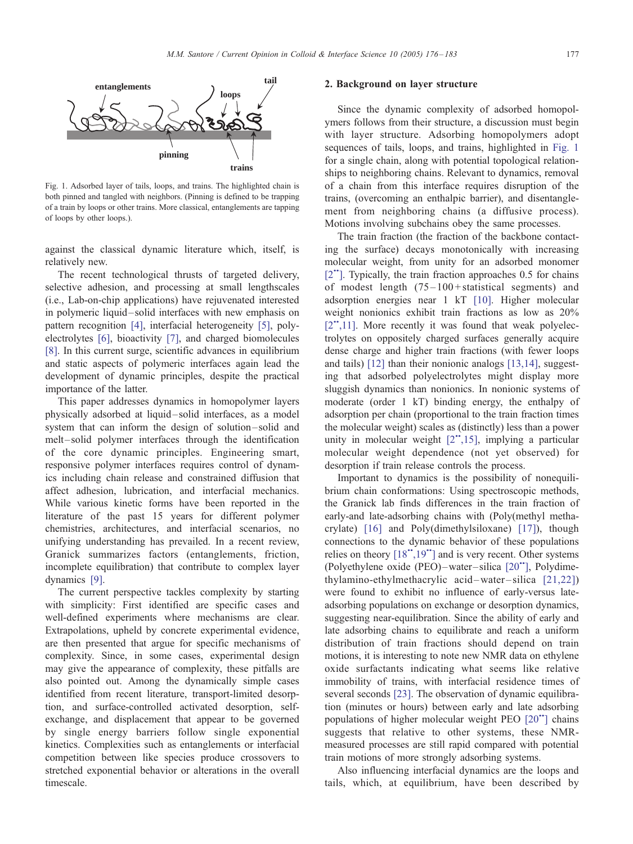



Fig. 1. Adsorbed layer of tails, loops, and trains. The highlighted chain is both pinned and tangled with neighbors. (Pinning is defined to be trapping of a train by loops or other trains. More classical, entanglements are tapping of loops by other loops.).

against the classical dynamic literature which, itself, is relatively new.

The recent technological thrusts of targeted delivery, selective adhesion, and processing at small lengthscales (i.e., Lab-on-chip applications) have rejuvenated interested in polymeric liquid – solid interfaces with new emphasis on pattern recognition [\[4\],](#page-6-0) interfacial heterogeneity [\[5\],](#page-6-0) polyelectrolytes [\[6\],](#page-6-0) bioactivity [\[7\],](#page-6-0) and charged biomolecules [\[8\].](#page-6-0) In this current surge, scientific advances in equilibrium and static aspects of polymeric interfaces again lead the development of dynamic principles, despite the practical importance of the latter.

This paper addresses dynamics in homopolymer layers physically adsorbed at liquid – solid interfaces, as a model system that can inform the design of solution-solid and melt – solid polymer interfaces through the identification of the core dynamic principles. Engineering smart, responsive polymer interfaces requires control of dynamics including chain release and constrained diffusion that affect adhesion, lubrication, and interfacial mechanics. While various kinetic forms have been reported in the literature of the past 15 years for different polymer chemistries, architectures, and interfacial scenarios, no unifying understanding has prevailed. In a recent review, Granick summarizes factors (entanglements, friction, incomplete equilibration) that contribute to complex layer dynamics [\[9\].](#page-6-0)

The current perspective tackles complexity by starting with simplicity: First identified are specific cases and well-defined experiments where mechanisms are clear. Extrapolations, upheld by concrete experimental evidence, are then presented that argue for specific mechanisms of complexity. Since, in some cases, experimental design may give the appearance of complexity, these pitfalls are also pointed out. Among the dynamically simple cases identified from recent literature, transport-limited desorption, and surface-controlled activated desorption, selfexchange, and displacement that appear to be governed by single energy barriers follow single exponential kinetics. Complexities such as entanglements or interfacial competition between like species produce crossovers to stretched exponential behavior or alterations in the overall timescale.

# 2. Background on layer structure

Since the dynamic complexity of adsorbed homopolymers follows from their structure, a discussion must begin with layer structure. Adsorbing homopolymers adopt sequences of tails, loops, and trains, highlighted in Fig. 1 for a single chain, along with potential topological relationships to neighboring chains. Relevant to dynamics, removal of a chain from this interface requires disruption of the trains, (overcoming an enthalpic barrier), and disentanglement from neighboring chains (a diffusive process). Motions involving subchains obey the same processes.

The train fraction (the fraction of the backbone contacting the surface) decays monotonically with increasing molecular weight, from unity for an adsorbed monomer  $[2"']$  $[2"']$ . Typically, the train fraction approaches 0.5 for chains of modest length  $(75-100) +$  statistical segments) and adsorption energies near 1 kT [\[10\].](#page-6-0) Higher molecular weight nonionics exhibit train fractions as low as 20%  $[2", 11]$ . More recently it was found that weak polyelectrolytes on oppositely charged surfaces generally acquire dense charge and higher train fractions (with fewer loops and tails) [\[12\]](#page-6-0) than their nonionic analogs [\[13,14\],](#page-6-0) suggesting that adsorbed polyelectrolytes might display more sluggish dynamics than nonionics. In nonionic systems of moderate (order 1 kT) binding energy, the enthalpy of adsorption per chain (proportional to the train fraction times the molecular weight) scales as (distinctly) less than a power unity in molecular weight  $[2",15]$ , implying a particular molecular weight dependence (not yet observed) for desorption if train release controls the process.

Important to dynamics is the possibility of nonequilibrium chain conformations: Using spectroscopic methods, the Granick lab finds differences in the train fraction of early-and late-adsorbing chains with (Poly(methyl methacrylate) [\[16\]](#page-6-0) and Poly(dimethylsiloxane) [\[17\]\)](#page-6-0), though connections to the dynamic behavior of these populations relies on theory  $[18", 19"$  and is very recent. Other systems (Polyethylene oxide (PEO) – water – silica  $[20"$  $[20"$ , Polydimethylamino-ethylmethacrylic acid–water – silica [\[21,22\]\)](#page-6-0) were found to exhibit no influence of early-versus lateadsorbing populations on exchange or desorption dynamics, suggesting near-equilibration. Since the ability of early and late adsorbing chains to equilibrate and reach a uniform distribution of train fractions should depend on train motions, it is interesting to note new NMR data on ethylene oxide surfactants indicating what seems like relative immobility of trains, with interfacial residence times of several seconds [\[23\].](#page-6-0) The observation of dynamic equilibration (minutes or hours) between early and late adsorbing populations of higher molecular weight PEO  $[20"]$  $[20"]$  chains suggests that relative to other systems, these NMRmeasured processes are still rapid compared with potential train motions of more strongly adsorbing systems.

Also influencing interfacial dynamics are the loops and tails, which, at equilibrium, have been described by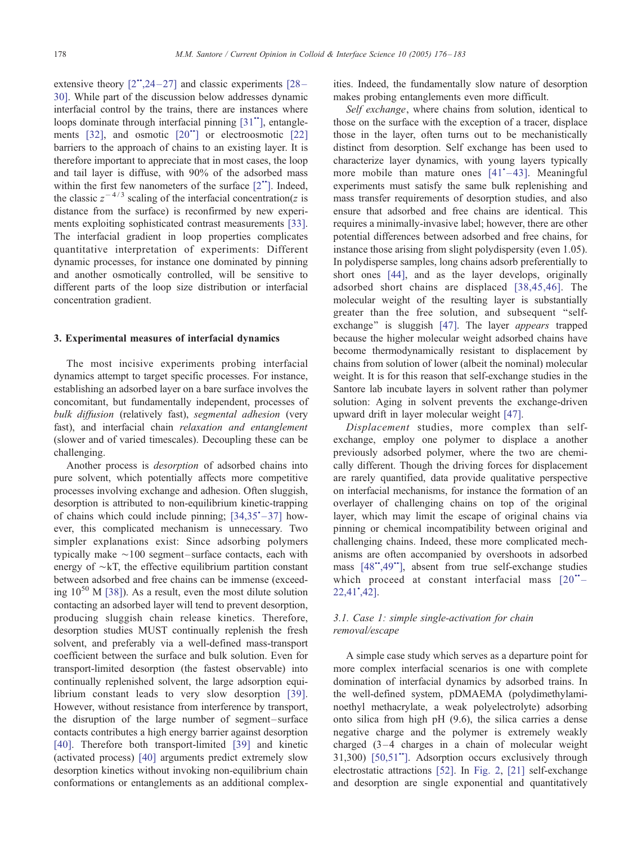extensive theory  $[2^{\circ}, 24 - 27]$  and classic experiments  $[28 -$ 30]. While part of the discussion below addresses dynamic interfacial control by the trains, there are instances where loops dominate through interfacial pinning  $[31\degree]$  $[31\degree]$ , entanglements  $[32]$ , and osmotic  $[20"]$  $[20"]$  or electroosmotic  $[22]$ barriers to the approach of chains to an existing layer. It is therefore important to appreciate that in most cases, the loop and tail layer is diffuse, with 90% of the adsorbed mass within the first few nanometers of the surface  $[2^{\ast}]$  $[2^{\ast}]$ . Indeed, the classic  $z^{-4/3}$  scaling of the interfacial concentration(z is distance from the surface) is reconfirmed by new experiments exploiting sophisticated contrast measurements [\[33\].](#page-6-0) The interfacial gradient in loop properties complicates quantitative interpretation of experiments: Different dynamic processes, for instance one dominated by pinning and another osmotically controlled, will be sensitive to different parts of the loop size distribution or interfacial concentration gradient.

#### 3. Experimental measures of interfacial dynamics

The most incisive experiments probing interfacial dynamics attempt to target specific processes. For instance, establishing an adsorbed layer on a bare surface involves the concomitant, but fundamentally independent, processes of bulk diffusion (relatively fast), segmental adhesion (very fast), and interfacial chain relaxation and entanglement (slower and of varied timescales). Decoupling these can be challenging.

Another process is desorption of adsorbed chains into pure solvent, which potentially affects more competitive processes involving exchange and adhesion. Often sluggish, desorption is attributed to non-equilibrium kinetic-trapping of chains which could include pinning;  $[34,35^{\circ}-37]$  $[34,35^{\circ}-37]$  however, this complicated mechanism is unnecessary. Two simpler explanations exist: Since adsorbing polymers typically make  $\sim$ 100 segment-surface contacts, each with energy of  $\sim kT$ , the effective equilibrium partition constant between adsorbed and free chains can be immense (exceeding  $10^{50}$  M [\[38\]\)](#page-7-0). As a result, even the most dilute solution contacting an adsorbed layer will tend to prevent desorption, producing sluggish chain release kinetics. Therefore, desorption studies MUST continually replenish the fresh solvent, and preferably via a well-defined mass-transport coefficient between the surface and bulk solution. Even for transport-limited desorption (the fastest observable) into continually replenished solvent, the large adsorption equilibrium constant leads to very slow desorption [\[39\].](#page-7-0) However, without resistance from interference by transport, the disruption of the large number of segment – surface contacts contributes a high energy barrier against desorption [\[40\]](#page-7-0). Therefore both transport-limited [\[39\]](#page-7-0) and kinetic (activated process) [\[40\]](#page-7-0) arguments predict extremely slow desorption kinetics without invoking non-equilibrium chain conformations or entanglements as an additional complexities. Indeed, the fundamentally slow nature of desorption makes probing entanglements even more difficult.

Self exchange, where chains from solution, identical to those on the surface with the exception of a tracer, displace those in the layer, often turns out to be mechanistically distinct from desorption. Self exchange has been used to characterize layer dynamics, with young layers typically more mobile than mature ones  $[41^{\degree}-43]$ . Meaningful experiments must satisfy the same bulk replenishing and mass transfer requirements of desorption studies, and also ensure that adsorbed and free chains are identical. This requires a minimally-invasive label; however, there are other potential differences between adsorbed and free chains, for instance those arising from slight polydispersity (even 1.05). In polydisperse samples, long chains adsorb preferentially to short ones [\[44\],](#page-7-0) and as the layer develops, originally adsorbed short chains are displaced [\[38,45,46\].](#page-7-0) The molecular weight of the resulting layer is substantially greater than the free solution, and subsequent ''self-exchange" is sluggish [\[47\].](#page-7-0) The layer *appears* trapped because the higher molecular weight adsorbed chains have become thermodynamically resistant to displacement by chains from solution of lower (albeit the nominal) molecular weight. It is for this reason that self-exchange studies in the Santore lab incubate layers in solvent rather than polymer solution: Aging in solvent prevents the exchange-driven upward drift in layer molecular weight [\[47\].](#page-7-0)

Displacement studies, more complex than selfexchange, employ one polymer to displace a another previously adsorbed polymer, where the two are chemically different. Though the driving forces for displacement are rarely quantified, data provide qualitative perspective on interfacial mechanisms, for instance the formation of an overlayer of challenging chains on top of the original layer, which may limit the escape of original chains via pinning or chemical incompatibility between original and challenging chains. Indeed, these more complicated mechanisms are often accompanied by overshoots in adsorbed mass  $[48", 49"$ ], absent from true self-exchange studies which proceed at constant interfacial mass  $[20" [20" 22,41,42$ ].

# 3.1. Case 1: simple single-activation for chain removal/escape

A simple case study which serves as a departure point for more complex interfacial scenarios is one with complete domination of interfacial dynamics by adsorbed trains. In the well-defined system, pDMAEMA (polydimethylaminoethyl methacrylate, a weak polyelectrolyte) adsorbing onto silica from high pH (9.6), the silica carries a dense negative charge and the polymer is extremely weakly charged  $(3-4)$  charges in a chain of molecular weight  $31,300$  [\[50,51](#page-7-0) $"$ ]. Adsorption occurs exclusively through electrostatic attractions [\[52\].](#page-7-0) In [Fig. 2,](#page-3-0) [\[21\]](#page-6-0) self-exchange and desorption are single exponential and quantitatively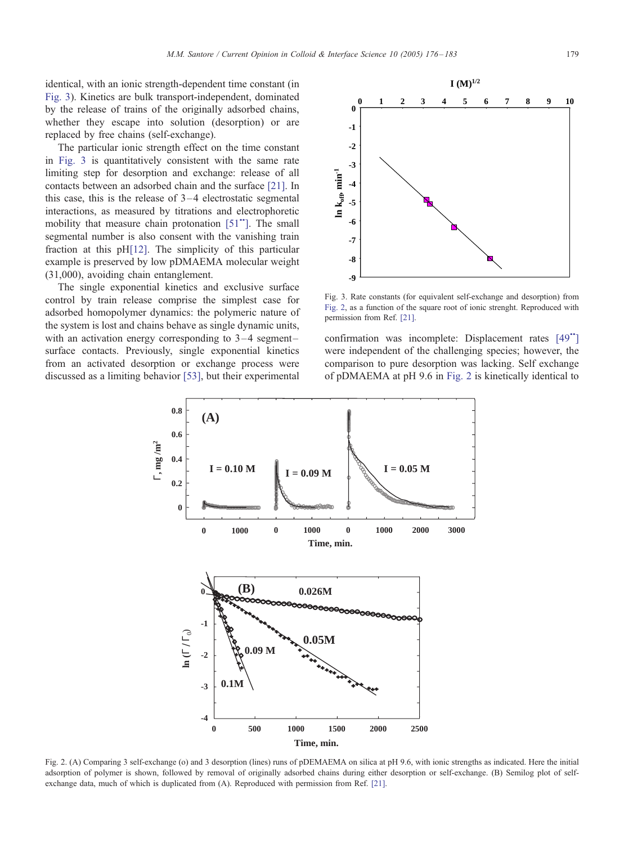<span id="page-3-0"></span>identical, with an ionic strength-dependent time constant (in Fig. 3). Kinetics are bulk transport-independent, dominated by the release of trains of the originally adsorbed chains, whether they escape into solution (desorption) or are replaced by free chains (self-exchange).

The particular ionic strength effect on the time constant in Fig. 3 is quantitatively consistent with the same rate limiting step for desorption and exchange: release of all contacts between an adsorbed chain and the surface [\[21\].](#page-6-0) In this case, this is the release of  $3-4$  electrostatic segmental interactions, as measured by titrations and electrophoretic mobility that measure chain protonation  $[51"']$  $[51"']$ . The small segmental number is also consent with the vanishing train fraction at this p[H\[12\].](#page-6-0) The simplicity of this particular example is preserved by low pDMAEMA molecular weight (31,000), avoiding chain entanglement.

The single exponential kinetics and exclusive surface control by train release comprise the simplest case for adsorbed homopolymer dynamics: the polymeric nature of the system is lost and chains behave as single dynamic units, with an activation energy corresponding to 3–4 segment– surface contacts. Previously, single exponential kinetics from an activated desorption or exchange process were discussed as a limiting behavior [\[53\],](#page-7-0) but their experimental



**0 1 2 3 4 5 6 7 8 9 10**  $I(M)^{1/2}$ 

Fig. 3. Rate constants (for equivalent self-exchange and desorption) from Fig. 2, as a function of the square root of ionic strenght. Reproduced with permission from Ref. [\[21\].](#page-6-0)

confirmation was incomplete: Displacement rates  $[49"$  $[49"$ ] were independent of the challenging species; however, the comparison to pure desorption was lacking. Self exchange of pDMAEMA at pH 9.6 in Fig. 2 is kinetically identical to



Fig. 2. (A) Comparing 3 self-exchange (o) and 3 desorption (lines) runs of pDEMAEMA on silica at pH 9.6, with ionic strengths as indicated. Here the initial adsorption of polymer is shown, followed by removal of originally adsorbed chains during either desorption or self-exchange. (B) Semilog plot of selfexchange data, much of which is duplicated from (A). Reproduced with permission from Ref. [\[21\].](#page-6-0)

**-3 -2 -1 0**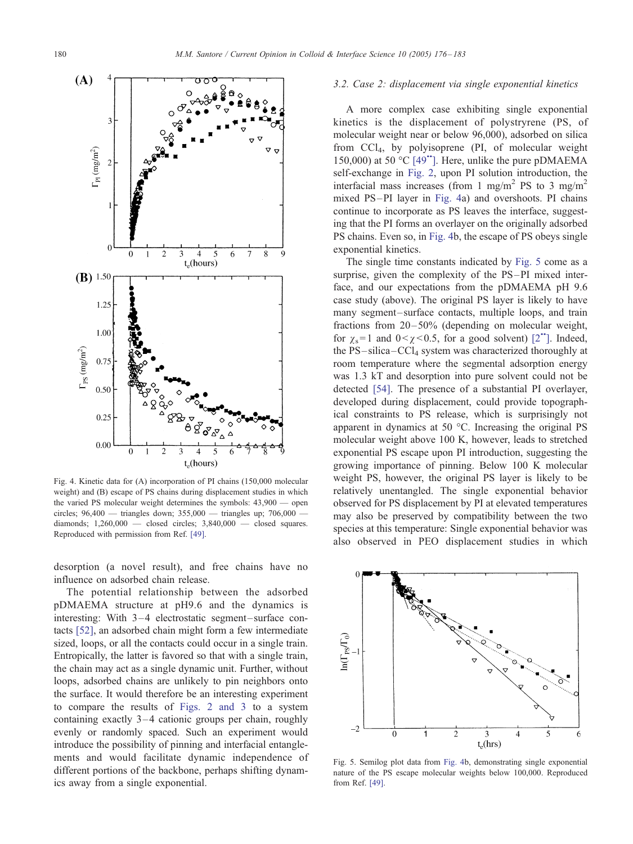

Fig. 4. Kinetic data for (A) incorporation of PI chains (150,000 molecular weight) and (B) escape of PS chains during displacement studies in which the varied PS molecular weight determines the symbols: 43,900 — open circles; 96,400 — triangles down; 355,000 — triangles up; 706,000 diamonds;  $1,260,000$  — closed circles;  $3,840,000$  — closed squares. Reproduced with permission from Ref. [\[49\].](#page-7-0)

desorption (a novel result), and free chains have no influence on adsorbed chain release.

The potential relationship between the adsorbed pDMAEMA structure at pH9.6 and the dynamics is interesting: With 3-4 electrostatic segment-surface contacts [\[52\],](#page-7-0) an adsorbed chain might form a few intermediate sized, loops, or all the contacts could occur in a single train. Entropically, the latter is favored so that with a single train, the chain may act as a single dynamic unit. Further, without loops, adsorbed chains are unlikely to pin neighbors onto the surface. It would therefore be an interesting experiment to compare the results of [Figs. 2 and 3](#page-3-0) to a system containing exactly  $3-4$  cationic groups per chain, roughly evenly or randomly spaced. Such an experiment would introduce the possibility of pinning and interfacial entanglements and would facilitate dynamic independence of different portions of the backbone, perhaps shifting dynamics away from a single exponential.

### 3.2. Case 2: displacement via single exponential kinetics

A more complex case exhibiting single exponential kinetics is the displacement of polystryrene (PS, of molecular weight near or below 96,000), adsorbed on silica from CCl4, by polyisoprene (PI, of molecular weight 150,000) at 50 °C [\[49](#page-7-0)<sup>\*</sup>]. Here, unlike the pure pDMAEMA self-exchange in [Fig. 2,](#page-3-0) upon PI solution introduction, the interfacial mass increases (from 1 mg/m<sup>2</sup> PS to 3 mg/m<sup>2</sup> mixed PS –PI layer in Fig. 4a) and overshoots. PI chains continue to incorporate as PS leaves the interface, suggesting that the PI forms an overlayer on the originally adsorbed PS chains. Even so, in Fig. 4b, the escape of PS obeys single exponential kinetics.

The single time constants indicated by Fig. 5 come as a surprise, given the complexity of the PS-PI mixed interface, and our expectations from the pDMAEMA pH 9.6 case study (above). The original PS layer is likely to have many segment-surface contacts, multiple loops, and train fractions from  $20-50\%$  (depending on molecular weight, for  $\chi_s$ =1 and 0 <  $\chi$  < 0.5, for a good solvent) [\[2](#page-6-0)<sup>\*\*</sup>]. Indeed, the  $PS-silica-CCl<sub>4</sub>$  system was characterized thoroughly at room temperature where the segmental adsorption energy was 1.3 kT and desorption into pure solvent could not be detected [\[54\].](#page-7-0) The presence of a substantial PI overlayer, developed during displacement, could provide topographical constraints to PS release, which is surprisingly not apparent in dynamics at  $50^{\circ}$ C. Increasing the original PS molecular weight above 100 K, however, leads to stretched exponential PS escape upon PI introduction, suggesting the growing importance of pinning. Below 100 K molecular weight PS, however, the original PS layer is likely to be relatively unentangled. The single exponential behavior observed for PS displacement by PI at elevated temperatures may also be preserved by compatibility between the two species at this temperature: Single exponential behavior was also observed in PEO displacement studies in which



Fig. 5. Semilog plot data from Fig. 4b, demonstrating single exponential nature of the PS escape molecular weights below 100,000. Reproduced from Ref. [\[49\].](#page-7-0)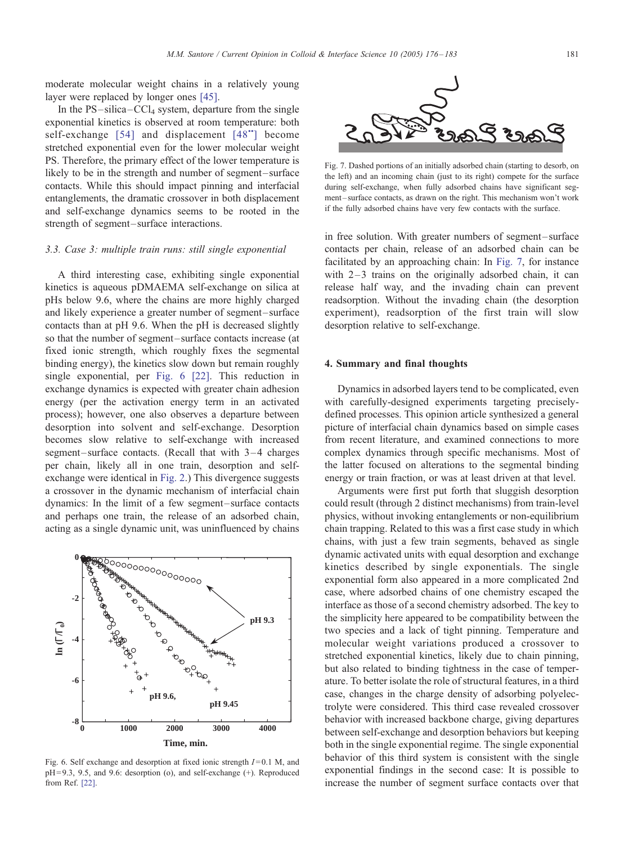moderate molecular weight chains in a relatively young layer were replaced by longer ones [\[45\].](#page-7-0)

In the  $PS-silica-CCl<sub>4</sub>$  system, departure from the single exponential kinetics is observed at room temperature: both self-exchange  $[54]$  and displacement  $[48"]$  $[48"]$  become stretched exponential even for the lower molecular weight PS. Therefore, the primary effect of the lower temperature is likely to be in the strength and number of segment-surface contacts. While this should impact pinning and interfacial entanglements, the dramatic crossover in both displacement and self-exchange dynamics seems to be rooted in the strength of segment-surface interactions.

# 3.3. Case 3: multiple train runs: still single exponential

A third interesting case, exhibiting single exponential kinetics is aqueous pDMAEMA self-exchange on silica at pHs below 9.6, where the chains are more highly charged and likely experience a greater number of segment – surface contacts than at pH 9.6. When the pH is decreased slightly so that the number of segment – surface contacts increase (at fixed ionic strength, which roughly fixes the segmental binding energy), the kinetics slow down but remain roughly single exponential, per Fig. 6 [\[22\].](#page-6-0) This reduction in exchange dynamics is expected with greater chain adhesion energy (per the activation energy term in an activated process); however, one also observes a departure between desorption into solvent and self-exchange. Desorption becomes slow relative to self-exchange with increased segment-surface contacts. (Recall that with  $3-4$  charges per chain, likely all in one train, desorption and selfexchange were identical in [Fig. 2.](#page-3-0)) This divergence suggests a crossover in the dynamic mechanism of interfacial chain dynamics: In the limit of a few segment-surface contacts and perhaps one train, the release of an adsorbed chain, acting as a single dynamic unit, was uninfluenced by chains



Fig. 6. Self exchange and desorption at fixed ionic strength  $I = 0.1$  M, and pH=9.3, 9.5, and 9.6: desorption (o), and self-exchange (+). Reproduced from Ref. [\[22\].](#page-6-0)



Fig. 7. Dashed portions of an initially adsorbed chain (starting to desorb, on the left) and an incoming chain (just to its right) compete for the surface during self-exchange, when fully adsorbed chains have significant segment – surface contacts, as drawn on the right. This mechanism won't work if the fully adsorbed chains have very few contacts with the surface.

in free solution. With greater numbers of segment – surface contacts per chain, release of an adsorbed chain can be facilitated by an approaching chain: In Fig. 7, for instance with  $2-3$  trains on the originally adsorbed chain, it can release half way, and the invading chain can prevent readsorption. Without the invading chain (the desorption experiment), readsorption of the first train will slow desorption relative to self-exchange.

# 4. Summary and final thoughts

Dynamics in adsorbed layers tend to be complicated, even with carefully-designed experiments targeting preciselydefined processes. This opinion article synthesized a general picture of interfacial chain dynamics based on simple cases from recent literature, and examined connections to more complex dynamics through specific mechanisms. Most of the latter focused on alterations to the segmental binding energy or train fraction, or was at least driven at that level.

Arguments were first put forth that sluggish desorption could result (through 2 distinct mechanisms) from train-level physics, without invoking entanglements or non-equilibrium chain trapping. Related to this was a first case study in which chains, with just a few train segments, behaved as single dynamic activated units with equal desorption and exchange kinetics described by single exponentials. The single exponential form also appeared in a more complicated 2nd case, where adsorbed chains of one chemistry escaped the interface as those of a second chemistry adsorbed. The key to the simplicity here appeared to be compatibility between the two species and a lack of tight pinning. Temperature and molecular weight variations produced a crossover to stretched exponential kinetics, likely due to chain pinning, but also related to binding tightness in the case of temperature. To better isolate the role of structural features, in a third case, changes in the charge density of adsorbing polyelectrolyte were considered. This third case revealed crossover behavior with increased backbone charge, giving departures between self-exchange and desorption behaviors but keeping both in the single exponential regime. The single exponential behavior of this third system is consistent with the single exponential findings in the second case: It is possible to increase the number of segment surface contacts over that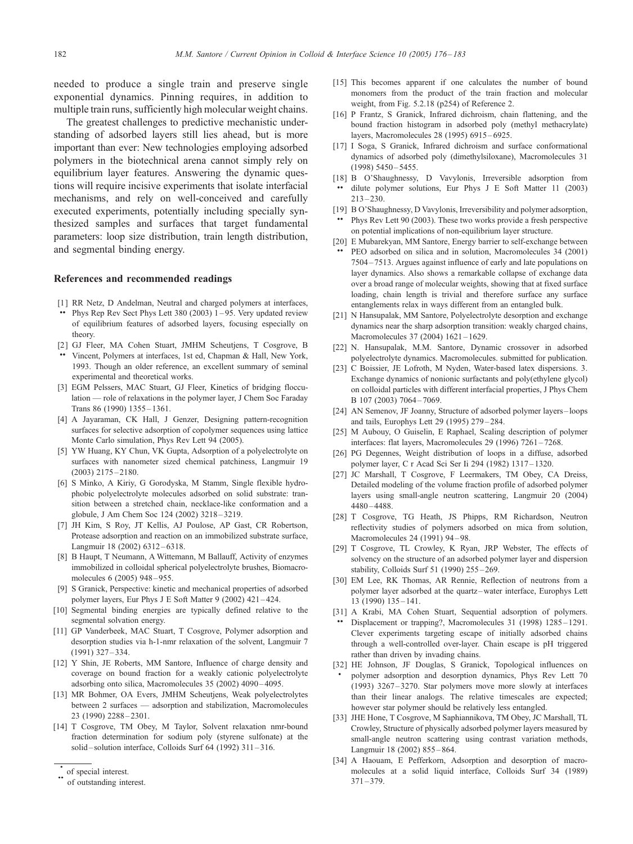<span id="page-6-0"></span>needed to produce a single train and preserve single exponential dynamics. Pinning requires, in addition to multiple train runs, sufficiently high molecular weight chains.

The greatest challenges to predictive mechanistic understanding of adsorbed layers still lies ahead, but is more important than ever: New technologies employing adsorbed polymers in the biotechnical arena cannot simply rely on equilibrium layer features. Answering the dynamic questions will require incisive experiments that isolate interfacial mechanisms, and rely on well-conceived and carefully executed experiments, potentially including specially synthesized samples and surfaces that target fundamental parameters: loop size distribution, train length distribution, and segmental binding energy.

#### References and recommended readings

- [1] RR Netz, D Andelman, Neutral and charged polymers at interfaces,
- $\bullet\bullet\bullet$  Phys Rep Rev Sect Phys Lett 380 (2003)  $1-95$ . Very updated review of equilibrium features of adsorbed layers, focusing especially on theory.
- [2 ] GJ Fleer, MA Cohen Stuart, JMHM Scheutjens, T Cosgrove, B && Vincent, Polymers at interfaces, 1st ed, Chapman & Hall, New York, 1993. Though an older reference, an excellent summary of seminal experimental and theoretical works.
- [3] EGM Pelssers, MAC Stuart, GJ Fleer, Kinetics of bridging flocculation — role of relaxations in the polymer layer, J Chem Soc Faraday Trans 86 (1990) 1355 – 1361.
- [4] A Jayaraman, CK Hall, J Genzer, Designing pattern-recognition surfaces for selective adsorption of copolymer sequences using lattice Monte Carlo simulation, Phys Rev Lett 94 (2005).
- [5] YW Huang, KY Chun, VK Gupta, Adsorption of a polyelectrolyte on surfaces with nanometer sized chemical patchiness, Langmuir 19 (2003) 2175 – 2180.
- [6] S Minko, A Kiriy, G Gorodyska, M Stamm, Single flexible hydrophobic polyelectrolyte molecules adsorbed on solid substrate: transition between a stretched chain, necklace-like conformation and a globule, J Am Chem Soc 124 (2002) 3218 – 3219.
- [7] JH Kim, S Roy, JT Kellis, AJ Poulose, AP Gast, CR Robertson, Protease adsorption and reaction on an immobilized substrate surface, Langmuir 18 (2002) 6312 – 6318.
- [8] B Haupt, T Neumann, A Wittemann, M Ballauff, Activity of enzymes immobilized in colloidal spherical polyelectrolyte brushes, Biomacromolecules 6 (2005) 948 – 955.
- [9] S Granick, Perspective: kinetic and mechanical properties of adsorbed polymer layers, Eur Phys J E Soft Matter 9 (2002) 421 – 424.
- [10] Segmental binding energies are typically defined relative to the segmental solvation energy.
- [11] GP Vanderbeek, MAC Stuart, T Cosgrove, Polymer adsorption and desorption studies via h-1-nmr relaxation of the solvent, Langmuir 7  $(1991)$  327 – 334.
- [12] Y Shin, JE Roberts, MM Santore, Influence of charge density and coverage on bound fraction for a weakly cationic polyelectrolyte adsorbing onto silica, Macromolecules 35 (2002) 4090 – 4095.
- [13] MR Bohmer, OA Evers, JMHM Scheutjens, Weak polyelectrolytes between 2 surfaces — adsorption and stabilization, Macromolecules 23 (1990) 2288 – 2301.
- [14] T Cosgrove, TM Obey, M Taylor, Solvent relaxation nmr-bound fraction determination for sodium poly (styrene sulfonate) at the solid – solution interface, Colloids Surf 64 (1992) 311 – 316.
- [15] This becomes apparent if one calculates the number of bound monomers from the product of the train fraction and molecular weight, from Fig. 5.2.18 (p254) of Reference 2.
- [16] P Frantz, S Granick, Infrared dichroism, chain flattening, and the bound fraction histogram in adsorbed poly (methyl methacrylate) layers, Macromolecules 28 (1995) 6915 – 6925.
- [17] I Soga, S Granick, Infrared dichroism and surface conformational dynamics of adsorbed poly (dimethylsiloxane), Macromolecules 31  $(1998)$  5450 – 5455.
- [18 ] B O'Shaughnessy, D Vavylonis, Irreversible adsorption from && dilute polymer solutions, Eur Phys J E Soft Matter 11 (2003)  $213 - 230.$
- [19] B O'Shaughnessy, D Vavylonis, Irreversibility and polymer adsorption,<br>
•• Phys Rev Lett 90 (2003) These two works provide a fresh perspective Phys Rev Lett 90 (2003). These two works provide a fresh perspective on potential implications of non-equilibrium layer structure.
- [20 ] E Mubarekyan, MM Santore, Energy barrier to self-exchange between
- && PEO adsorbed on silica and in solution, Macromolecules 34 (2001) 7504 – 7513. Argues against influence of early and late populations on layer dynamics. Also shows a remarkable collapse of exchange data over a broad range of molecular weights, showing that at fixed surface loading, chain length is trivial and therefore surface any surface entanglements relax in ways different from an entangled bulk.
- [21] N Hansupalak, MM Santore, Polyelectrolyte desorption and exchange dynamics near the sharp adsorption transition: weakly charged chains, Macromolecules 37 (2004) 1621-1629.
- [22] N. Hansupalak, M.M. Santore, Dynamic crossover in adsorbed polyelectrolyte dynamics. Macromolecules. submitted for publication.
- [23] C Boissier, JE Lofroth, M Nyden, Water-based latex dispersions. 3. Exchange dynamics of nonionic surfactants and poly(ethylene glycol) on colloidal particles with different interfacial properties, J Phys Chem B 107 (2003) 7064 – 7069.
- [24] AN Semenov, JF Joanny, Structure of adsorbed polymer layers-loops and tails, Europhys Lett 29 (1995) 279 – 284.
- [25] M Aubouy, O Guiselin, E Raphael, Scaling description of polymer interfaces: flat layers, Macromolecules 29 (1996) 7261 – 7268.
- [26] PG Degennes, Weight distribution of loops in a diffuse, adsorbed polymer layer, C r Acad Sci Ser Ii 294 (1982) 1317 – 1320.
- [27] JC Marshall, T Cosgrove, F Leermakers, TM Obey, CA Dreiss, Detailed modeling of the volume fraction profile of adsorbed polymer layers using small-angle neutron scattering, Langmuir 20 (2004) 4480 – 4488.
- [28] T Cosgrove, TG Heath, JS Phipps, RM Richardson, Neutron reflectivity studies of polymers adsorbed on mica from solution, Macromolecules 24 (1991) 94 – 98.
- [29] T Cosgrove, TL Crowley, K Ryan, JRP Webster, The effects of solvency on the structure of an adsorbed polymer layer and dispersion stability, Colloids Surf 51 (1990) 255 – 269.
- [30] EM Lee, RK Thomas, AR Rennie, Reflection of neutrons from a polymer layer adsorbed at the quartz – water interface, Europhys Lett 13 (1990) 135 – 141.
- [31 ] A Krabi, MA Cohen Stuart, Sequential adsorption of polymers. && Displacement or trapping?, Macromolecules 31 (1998) 1285 – 1291. Clever experiments targeting escape of initially adsorbed chains through a well-controlled over-layer. Chain escape is pH triggered rather than driven by invading chains.
- [32] HE Johnson, JF Douglas, S Granick, Topological influences on<br>  $\bullet$  nolymer adsorption and desorption dynamics Phys Rey Lett 70 polymer adsorption and desorption dynamics, Phys Rev Lett 70 (1993) 3267 – 3270. Star polymers move more slowly at interfaces than their linear analogs. The relative timescales are expected; however star polymer should be relatively less entangled.
- [33] JHE Hone, T Cosgrove, M Saphiannikova, TM Obey, JC Marshall, TL Crowley, Structure of physically adsorbed polymer layers measured by small-angle neutron scattering using contrast variation methods, Langmuir 18 (2002) 855 – 864.
- [34] A Haouam, E Pefferkorn, Adsorption and desorption of macromolecules at a solid liquid interface, Colloids Surf 34 (1989)  $371 - 379.$

of special interest.<br>of outstanding interest.